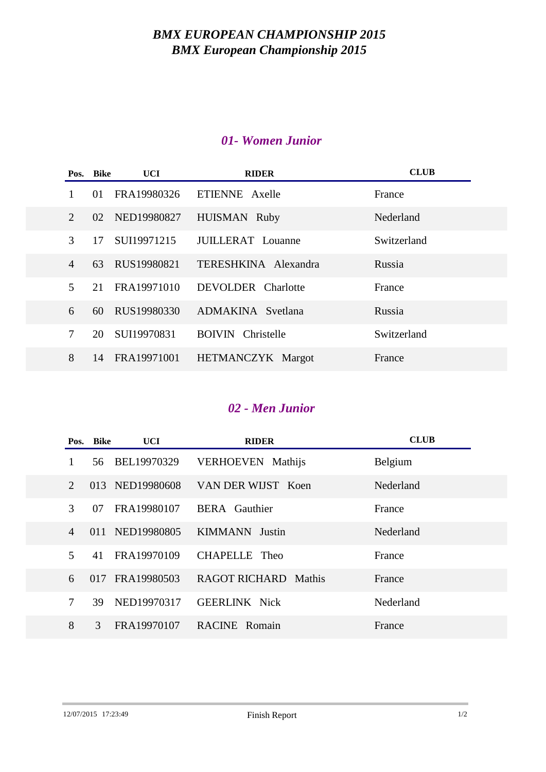## *BMX EUROPEAN CHAMPIONSHIP 2015 BMX European Championship 2015*

#### *01- Women Junior*

|                             | Pos. Bike | UCI         | <b>RIDER</b>                | <b>CLUB</b> |
|-----------------------------|-----------|-------------|-----------------------------|-------------|
|                             | 01        | FRA19980326 | ETIENNE Axelle              | France      |
| $\mathcal{D}_{\mathcal{L}}$ | 02        | NED19980827 | HUISMAN Ruby                | Nederland   |
| 3                           | 17        | SUI19971215 | JUILLERAT Louanne           | Switzerland |
| $\overline{4}$              | 63        | RUS19980821 | TERESHKINA Alexandra        | Russia      |
| $\overline{\mathcal{L}}$    | 21        | FRA19971010 | DEVOLDER Charlotte          | France      |
| 6                           | 60        | RUS19980330 | ADMAKINA Svetlana           | Russia      |
| $\overline{7}$              | 20        | SUI19970831 | Christelle<br><b>BOIVIN</b> | Switzerland |
| 8                           | 14        | FRA19971001 | HETMANCZYK Margot           | France      |

# *02 - Men Junior*

|                             | Pos. Bike     | UCI             | <b>RIDER</b>                | <b>CLUB</b> |
|-----------------------------|---------------|-----------------|-----------------------------|-------------|
| 1                           | 56.           | BEL19970329     | <b>VERHOEVEN</b> Mathijs    | Belgium     |
| $\mathcal{D}_{\mathcal{L}}$ |               | 013 NED19980608 | VAN DER WIJST Koen          | Nederland   |
| 3                           | 07            | FRA19980107     | <b>BERA</b> Gauthier        | France      |
| 4                           |               | 011 NED19980805 | <b>KIMMANN</b> Justin       | Nederland   |
| 5                           | 41            | FRA19970109     | CHAPELLE Theo               | France      |
| 6                           | 017           | FRA19980503     | <b>RAGOT RICHARD Mathis</b> | France      |
| 7                           | 39            | NED19970317     | <b>GEERLINK Nick</b>        | Nederland   |
| 8                           | $\mathcal{F}$ | FRA19970107     | <b>RACINE</b> Romain        | France      |